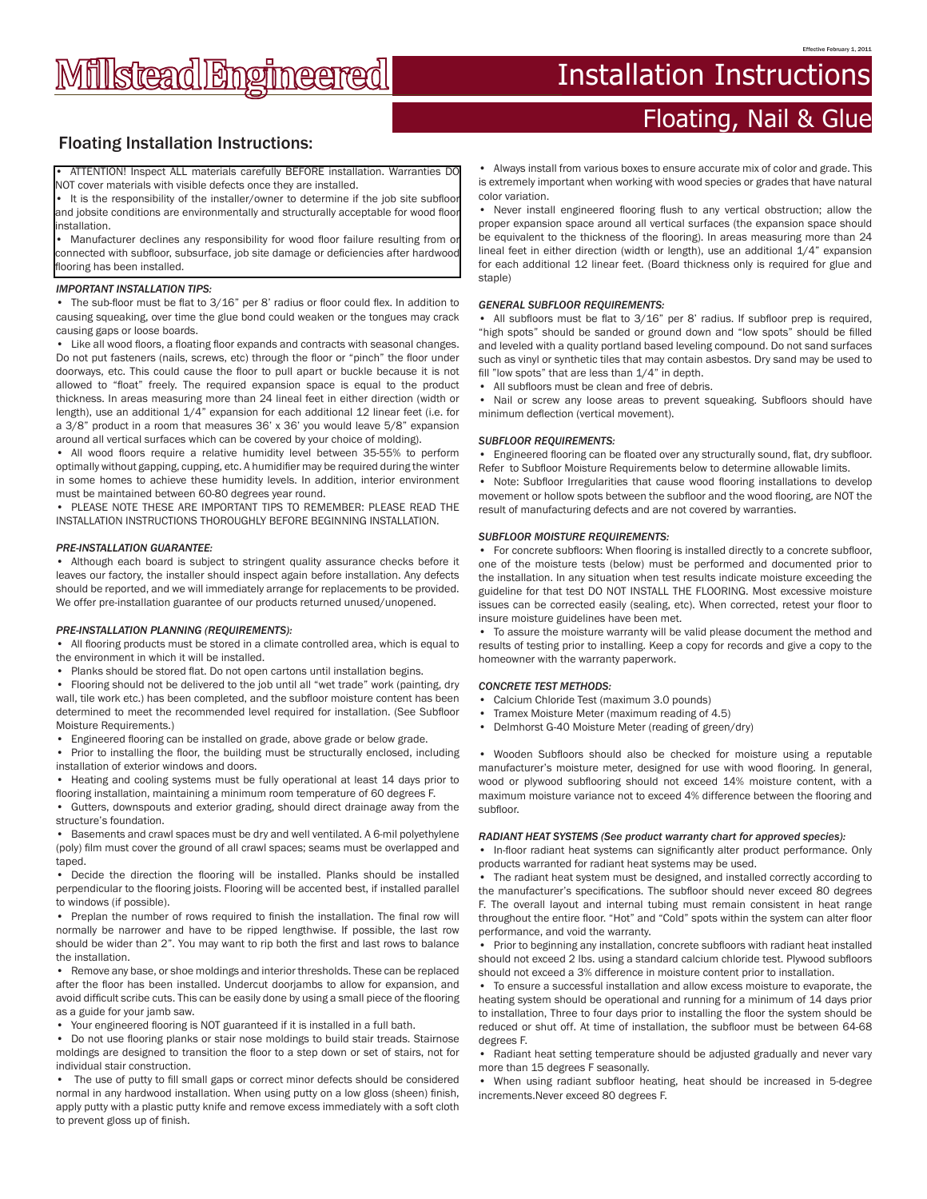# **Millstead Engineered**

## Installation Instructions

## Floating, Nail & Glue

## Floating Installation Instructions:

• ATTENTION! Inspect ALL materials carefully BEFORE installation. Warranties DO NOT cover materials with visible defects once they are installed.

• It is the responsibility of the installer/owner to determine if the job site subfloor and jobsite conditions are environmentally and structurally acceptable for wood floor installation.

• Manufacturer declines any responsibility for wood floor failure resulting from or connected with subfloor, subsurface, job site damage or deficiencies after hardwood flooring has been installed.

#### *IMPORTANT INSTALLATION TIPS:*

• The sub-floor must be flat to 3/16" per 8' radius or floor could flex. In addition to causing squeaking, over time the glue bond could weaken or the tongues may crack causing gaps or loose boards.

Like all wood floors, a floating floor expands and contracts with seasonal changes. Do not put fasteners (nails, screws, etc) through the floor or "pinch" the floor under doorways, etc. This could cause the floor to pull apart or buckle because it is not allowed to "float" freely. The required expansion space is equal to the product thickness. In areas measuring more than 24 lineal feet in either direction (width or length), use an additional  $1/4$ " expansion for each additional 12 linear feet (i.e. for a 3/8" product in a room that measures 36' x 36' you would leave 5/8" expansion around all vertical surfaces which can be covered by your choice of molding).

• All wood floors require a relative humidity level between 35-55% to perform optimally without gapping, cupping, etc. A humidifier may be required during the winter in some homes to achieve these humidity levels. In addition, interior environment must be maintained between 60-80 degrees year round.

PLEASE NOTE THESE ARE IMPORTANT TIPS TO REMEMBER: PLEASE READ THE INSTALLATION INSTRUCTIONS THOROUGHLY BEFORE BEGINNING INSTALLATION.

#### *PRE-INSTALLATION GUARANTEE:*

• Although each board is subject to stringent quality assurance checks before it leaves our factory, the installer should inspect again before installation. Any defects should be reported, and we will immediately arrange for replacements to be provided. We offer pre-installation guarantee of our products returned unused/unopened.

#### *PRE-INSTALLATION PLANNING (REQUIREMENTS):*

• All flooring products must be stored in a climate controlled area, which is equal to the environment in which it will be installed.

• Planks should be stored flat. Do not open cartons until installation begins.

• Flooring should not be delivered to the job until all "wet trade" work (painting, dry wall, tile work etc.) has been completed, and the subfloor moisture content has been determined to meet the recommended level required for installation. (See Subfloor Moisture Requirements.)

• Engineered flooring can be installed on grade, above grade or below grade.

• Prior to installing the floor, the building must be structurally enclosed, including installation of exterior windows and doors.

• Heating and cooling systems must be fully operational at least 14 days prior to flooring installation, maintaining a minimum room temperature of 60 degrees F.

Gutters, downspouts and exterior grading, should direct drainage away from the structure's foundation.

• Basements and crawl spaces must be dry and well ventilated. A 6-mil polyethylene (poly) film must cover the ground of all crawl spaces; seams must be overlapped and taped.

• Decide the direction the flooring will be installed. Planks should be installed perpendicular to the flooring joists. Flooring will be accented best, if installed parallel to windows (if possible).

• Preplan the number of rows required to finish the installation. The final row will normally be narrower and have to be ripped lengthwise. If possible, the last row should be wider than 2". You may want to rip both the first and last rows to balance the installation.

• Remove any base, or shoe moldings and interior thresholds. These can be replaced after the floor has been installed. Undercut doorjambs to allow for expansion, and avoid difficult scribe cuts. This can be easily done by using a small piece of the flooring as a guide for your jamb saw.

• Your engineered flooring is NOT guaranteed if it is installed in a full bath.

• Do not use flooring planks or stair nose moldings to build stair treads. Stairnose moldings are designed to transition the floor to a step down or set of stairs, not for individual stair construction.

The use of putty to fill small gaps or correct minor defects should be considered normal in any hardwood installation. When using putty on a low gloss (sheen) finish, apply putty with a plastic putty knife and remove excess immediately with a soft cloth to prevent gloss up of finish.

• Always install from various boxes to ensure accurate mix of color and grade. This is extremely important when working with wood species or grades that have natural color variation.

• Never install engineered flooring flush to any vertical obstruction; allow the proper expansion space around all vertical surfaces (the expansion space should be equivalent to the thickness of the flooring). In areas measuring more than 24 lineal feet in either direction (width or length), use an additional 1/4" expansion for each additional 12 linear feet. (Board thickness only is required for glue and staple)

#### *GENERAL SUBFLOOR REQUIREMENTS:*

• All subfloors must be flat to 3/16" per 8' radius. If subfloor prep is required, "high spots" should be sanded or ground down and "low spots" should be filled and leveled with a quality portland based leveling compound. Do not sand surfaces such as vinyl or synthetic tiles that may contain asbestos. Dry sand may be used to fill "low spots" that are less than 1/4" in depth.

All subfloors must be clean and free of debris.

• Nail or screw any loose areas to prevent squeaking. Subfloors should have minimum deflection (vertical movement).

#### *SUBFLOOR REQUIREMENTS:*

• Engineered flooring can be floated over any structurally sound, flat, dry subfloor. Refer to Subfloor Moisture Requirements below to determine allowable limits.

• Note: Subfloor Irregularities that cause wood flooring installations to develop movement or hollow spots between the subfloor and the wood flooring, are NOT the result of manufacturing defects and are not covered by warranties.

#### *SUBFLOOR MOISTURE REQUIREMENTS:*

• For concrete subfloors: When flooring is installed directly to a concrete subfloor, one of the moisture tests (below) must be performed and documented prior to the installation. In any situation when test results indicate moisture exceeding the guideline for that test DO NOT INSTALL THE FLOORING. Most excessive moisture issues can be corrected easily (sealing, etc). When corrected, retest your floor to insure moisture guidelines have been met.

• To assure the moisture warranty will be valid please document the method and results of testing prior to installing. Keep a copy for records and give a copy to the homeowner with the warranty paperwork.

#### *CONCRETE TEST METHODS:*

- Calcium Chloride Test (maximum 3.0 pounds)
- Tramex Moisture Meter (maximum reading of 4.5)
- Delmhorst G-40 Moisture Meter (reading of green/dry)

• Wooden Subfloors should also be checked for moisture using a reputable manufacturer's moisture meter, designed for use with wood flooring. In general, wood or plywood subflooring should not exceed 14% moisture content, with a maximum moisture variance not to exceed 4% difference between the flooring and subfloor.

#### *RADIANT HEAT SYSTEMS (See product warranty chart for approved species):*

• In-floor radiant heat systems can significantly alter product performance. Only products warranted for radiant heat systems may be used.

• The radiant heat system must be designed, and installed correctly according to the manufacturer's specifications. The subfloor should never exceed 80 degrees F. The overall layout and internal tubing must remain consistent in heat range throughout the entire floor. "Hot" and "Cold" spots within the system can alter floor performance, and void the warranty.

• Prior to beginning any installation, concrete subfloors with radiant heat installed should not exceed 2 lbs. using a standard calcium chloride test. Plywood subfloors should not exceed a 3% difference in moisture content prior to installation.

• To ensure a successful installation and allow excess moisture to evaporate, the heating system should be operational and running for a minimum of 14 days prior to installation, Three to four days prior to installing the floor the system should be reduced or shut off. At time of installation, the subfloor must be between 64-68 degrees F.

• Radiant heat setting temperature should be adjusted gradually and never vary more than 15 degrees F seasonally.

• When using radiant subfloor heating, heat should be increased in 5-degree increments.Never exceed 80 degrees F.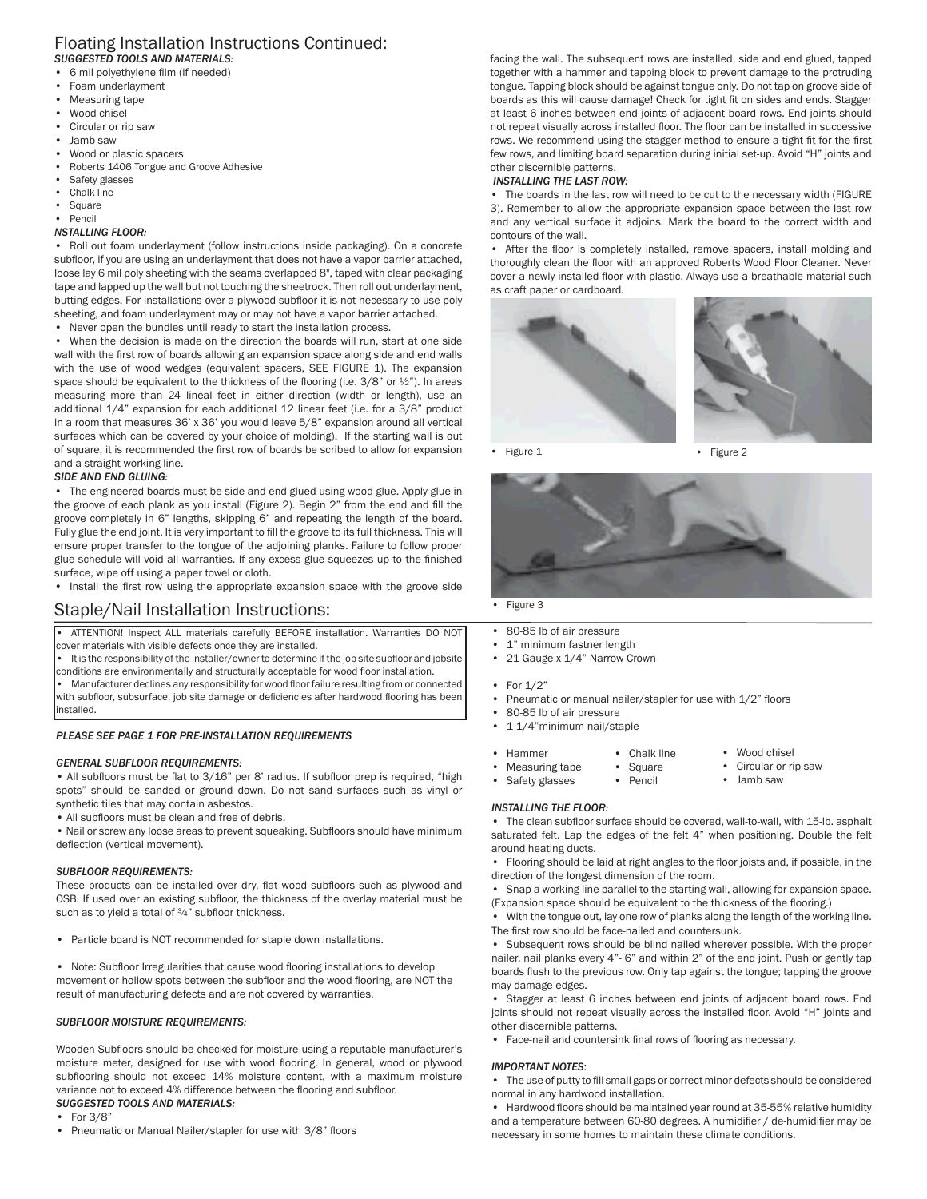#### Floating Installation Instructions Continued: *SUGGESTED TOOLS AND MATERIALS:*

- 6 mil polyethylene film (if needed)
- Foam underlayment
- Measuring tape
- Wood chisel
- Circular or rip saw
- Jamb saw
- Wood or plastic spacers
- Roberts 1406 Tongue and Groove Adhesive
- Safety glasses
- Chalk line
- **Square** • Pencil

#### *NSTALLING FLOOR:*

• Roll out foam underlayment (follow instructions inside packaging). On a concrete subfloor, if you are using an underlayment that does not have a vapor barrier attached, loose lay 6 mil poly sheeting with the seams overlapped 8", taped with clear packaging tape and lapped up the wall but not touching the sheetrock. Then roll out underlayment, butting edges. For installations over a plywood subfloor it is not necessary to use poly sheeting, and foam underlayment may or may not have a vapor barrier attached.

Never open the bundles until ready to start the installation process.

• When the decision is made on the direction the boards will run, start at one side wall with the first row of boards allowing an expansion space along side and end walls with the use of wood wedges (equivalent spacers, SEE FIGURE 1). The expansion space should be equivalent to the thickness of the flooring (i.e. 3/8" or 1/2"). In areas measuring more than 24 lineal feet in either direction (width or length), use an additional 1/4" expansion for each additional 12 linear feet (i.e. for a 3/8" product in a room that measures 36' x 36' you would leave 5/8" expansion around all vertical surfaces which can be covered by your choice of molding). If the starting wall is out of square, it is recommended the first row of boards be scribed to allow for expansion and a straight working line.

#### *SIDE AND END GLUING:*

• The engineered boards must be side and end glued using wood glue. Apply glue in the groove of each plank as you install (Figure 2). Begin 2" from the end and fill the groove completely in 6" lengths, skipping 6" and repeating the length of the board. Fully glue the end joint. It is very important to fill the groove to its full thickness. This will ensure proper transfer to the tongue of the adjoining planks. Failure to follow proper glue schedule will void all warranties. If any excess glue squeezes up to the finished surface, wipe off using a paper towel or cloth.

• Install the first row using the appropriate expansion space with the groove side

## Staple/Nail Installation Instructions:

• ATTENTION! Inspect ALL materials carefully BEFORE installation. Warranties DO NOT cover materials with visible defects once they are installed.

• It is the responsibility of the installer/owner to determine if the job site subfloor and jobsite conditions are environmentally and structurally acceptable for wood floor installation.

• Manufacturer declines any responsibility for wood floor failure resulting from or connected with subfloor, subsurface, job site damage or deficiencies after hardwood flooring has been installed.

#### *PLEASE SEE PAGE 1 FOR PRE-INSTALLATION REQUIREMENTS*

#### *GENERAL SUBFLOOR REQUIREMENTS:*

• All subfloors must be flat to 3/16" per 8' radius. If subfloor prep is required, "high spots" should be sanded or ground down. Do not sand surfaces such as vinyl or synthetic tiles that may contain asbestos.

• All subfloors must be clean and free of debris.

• Nail or screw any loose areas to prevent squeaking. Subfloors should have minimum deflection (vertical movement).

#### *SUBFLOOR REQUIREMENTS:*

These products can be installed over dry, flat wood subfloors such as plywood and OSB. If used over an existing subfloor, the thickness of the overlay material must be such as to yield a total of 3/4" subfloor thickness.

• Particle board is NOT recommended for staple down installations.

• Note: Subfloor Irregularities that cause wood flooring installations to develop movement or hollow spots between the subfloor and the wood flooring, are NOT the result of manufacturing defects and are not covered by warranties.

#### *SUBFLOOR MOISTURE REQUIREMENTS:*

Wooden Subfloors should be checked for moisture using a reputable manufacturer's moisture meter, designed for use with wood flooring. In general, wood or plywood subflooring should not exceed 14% moisture content, with a maximum moisture variance not to exceed 4% difference between the flooring and subfloor.

### *SUGGESTED TOOLS AND MATERIALS:*

- For 3/8"
- Pneumatic or Manual Nailer/stapler for use with 3/8" floors

facing the wall. The subsequent rows are installed, side and end glued, tapped together with a hammer and tapping block to prevent damage to the protruding tongue. Tapping block should be against tongue only. Do not tap on groove side of boards as this will cause damage! Check for tight fit on sides and ends. Stagger at least 6 inches between end joints of adjacent board rows. End joints should not repeat visually across installed floor. The floor can be installed in successive rows. We recommend using the stagger method to ensure a tight fit for the first few rows, and limiting board separation during initial set-up. Avoid "H" joints and other discernible patterns.

#### *INSTALLING THE LAST ROW:*

The boards in the last row will need to be cut to the necessary width (FIGURE 3). Remember to allow the appropriate expansion space between the last row and any vertical surface it adjoins. Mark the board to the correct width and contours of the wall.

• After the floor is completely installed, remove spacers, install molding and thoroughly clean the floor with an approved Roberts Wood Floor Cleaner. Never cover a newly installed floor with plastic. Always use a breathable material such as craft paper or cardboard.



• Figure 1

• Figure 2



- 80-85 lb of air pressure
- 1" minimum fastner length
- 21 Gauge x 1/4" Narrow Crown
- For 1/2"
- Pneumatic or manual nailer/stapler for use with 1/2" floors
- 80-85 lb of air pressure
- 1 1/4"minimum nail/staple
- Hammer
- Chalk line • Wood chisel
- Measuring tape
- **Square** • Pencil Circular or rip saw • Jamb saw
- Safety glasses

#### *INSTALLING THE FLOOR:*

• The clean subfloor surface should be covered, wall-to-wall, with 15-lb. asphalt saturated felt. Lap the edges of the felt 4" when positioning. Double the felt around heating ducts.

• Flooring should be laid at right angles to the floor joists and, if possible, in the direction of the longest dimension of the room.

• Snap a working line parallel to the starting wall, allowing for expansion space. (Expansion space should be equivalent to the thickness of the flooring.)

• With the tongue out, lay one row of planks along the length of the working line. The first row should be face-nailed and countersunk.

• Subsequent rows should be blind nailed wherever possible. With the proper nailer, nail planks every 4"- 6" and within 2" of the end joint. Push or gently tap boards flush to the previous row. Only tap against the tongue; tapping the groove may damage edges.

Stagger at least 6 inches between end joints of adjacent board rows. End joints should not repeat visually across the installed floor. Avoid "H" joints and other discernible patterns.

• Face-nail and countersink final rows of flooring as necessary.

#### *IMPORTANT NOTES*:

• The use of putty to fill small gaps or correct minor defects should be considered normal in any hardwood installation.

• Hardwood floors should be maintained year round at 35-55% relative humidity and a temperature between 60-80 degrees. A humidifier / de-humidifier may be necessary in some homes to maintain these climate conditions.